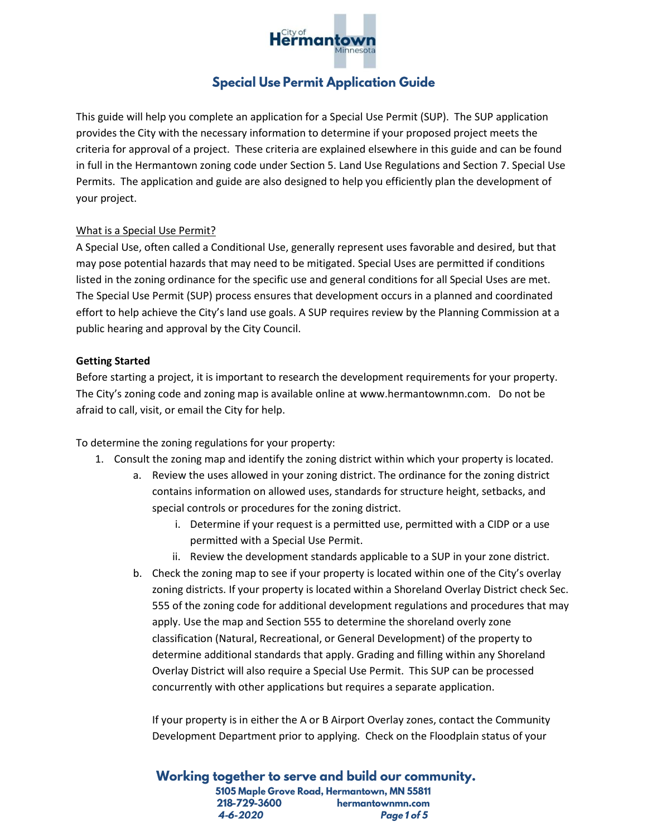

# **Special Use Permit Application Guide**

This guide will help you complete an application for a Special Use Permit (SUP). The SUP application provides the City with the necessary information to determine if your proposed project meets the criteria for approval of a project. These criteria are explained elsewhere in this guide and can be found in full in the Hermantown zoning code under Section 5. Land Use Regulations and Section 7. Special Use Permits. The application and guide are also designed to help you efficiently plan the development of your project.

### What is a Special Use Permit?

A Special Use, often called a Conditional Use, generally represent uses favorable and desired, but that may pose potential hazards that may need to be mitigated. Special Uses are permitted if conditions listed in the zoning ordinance for the specific use and general conditions for all Special Uses are met. The Special Use Permit (SUP) process ensures that development occurs in a planned and coordinated effort to help achieve the City's land use goals. A SUP requires review by the Planning Commission at a public hearing and approval by the City Council.

## **Getting Started**

Before starting a project, it is important to research the development requirements for your property. The City's zoning code and zoning map is available online at www.hermantownmn.com. Do not be afraid to call, visit, or email the City for help.

To determine the zoning regulations for your property:

- 1. Consult the zoning map and identify the zoning district within which your property is located.
	- a. Review the uses allowed in your zoning district. The ordinance for the zoning district contains information on allowed uses, standards for structure height, setbacks, and special controls or procedures for the zoning district.
		- i. Determine if your request is a permitted use, permitted with a CIDP or a use permitted with a Special Use Permit.
		- ii. Review the development standards applicable to a SUP in your zone district.
	- b. Check the zoning map to see if your property is located within one of the City's overlay zoning districts. If your property is located within a Shoreland Overlay District check Sec. 555 of the zoning code for additional development regulations and procedures that may apply. Use the map and Section 555 to determine the shoreland overly zone classification (Natural, Recreational, or General Development) of the property to determine additional standards that apply. Grading and filling within any Shoreland Overlay District will also require a Special Use Permit. This SUP can be processed concurrently with other applications but requires a separate application.

If your property is in either the A or B Airport Overlay zones, contact the Community Development Department prior to applying. Check on the Floodplain status of your

Working together to serve and build our community. 5105 Maple Grove Road, Hermantown, MN 55811 218-729-3600 hermantownmn.com 4-6-2020 Page 1 of 5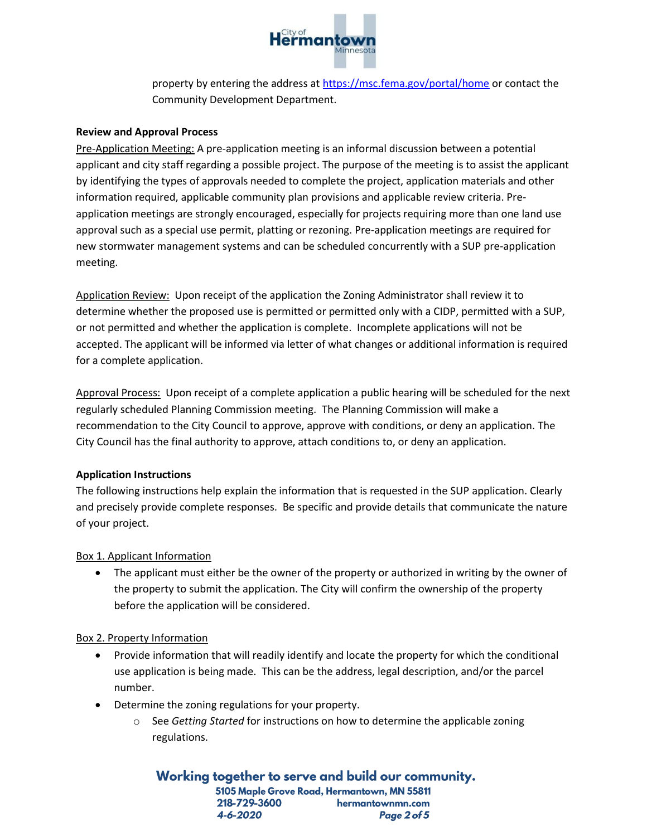

property by entering the address at<https://msc.fema.gov/portal/home> or contact the Community Development Department.

### **Review and Approval Process**

Pre-Application Meeting: A pre-application meeting is an informal discussion between a potential applicant and city staff regarding a possible project. The purpose of the meeting is to assist the applicant by identifying the types of approvals needed to complete the project, application materials and other information required, applicable community plan provisions and applicable review criteria. Preapplication meetings are strongly encouraged, especially for projects requiring more than one land use approval such as a special use permit, platting or rezoning. Pre-application meetings are required for new stormwater management systems and can be scheduled concurrently with a SUP pre-application meeting.

Application Review: Upon receipt of the application the Zoning Administrator shall review it to determine whether the proposed use is permitted or permitted only with a CIDP, permitted with a SUP, or not permitted and whether the application is complete. Incomplete applications will not be accepted. The applicant will be informed via letter of what changes or additional information is required for a complete application.

Approval Process: Upon receipt of a complete application a public hearing will be scheduled for the next regularly scheduled Planning Commission meeting. The Planning Commission will make a recommendation to the City Council to approve, approve with conditions, or deny an application. The City Council has the final authority to approve, attach conditions to, or deny an application.

### **Application Instructions**

The following instructions help explain the information that is requested in the SUP application. Clearly and precisely provide complete responses. Be specific and provide details that communicate the nature of your project.

### Box 1. Applicant Information

The applicant must either be the owner of the property or authorized in writing by the owner of the property to submit the application. The City will confirm the ownership of the property before the application will be considered.

### Box 2. Property Information

- Provide information that will readily identify and locate the property for which the conditional use application is being made. This can be the address, legal description, and/or the parcel number.
- Determine the zoning regulations for your property.
	- See *Getting Started* for instructions on how to determine the applicable zoning regulations.

Working together to serve and build our community. 5105 Maple Grove Road, Hermantown, MN 55811 218-729-3600 hermantownmn.com 4-6-2020 Page 2 of 5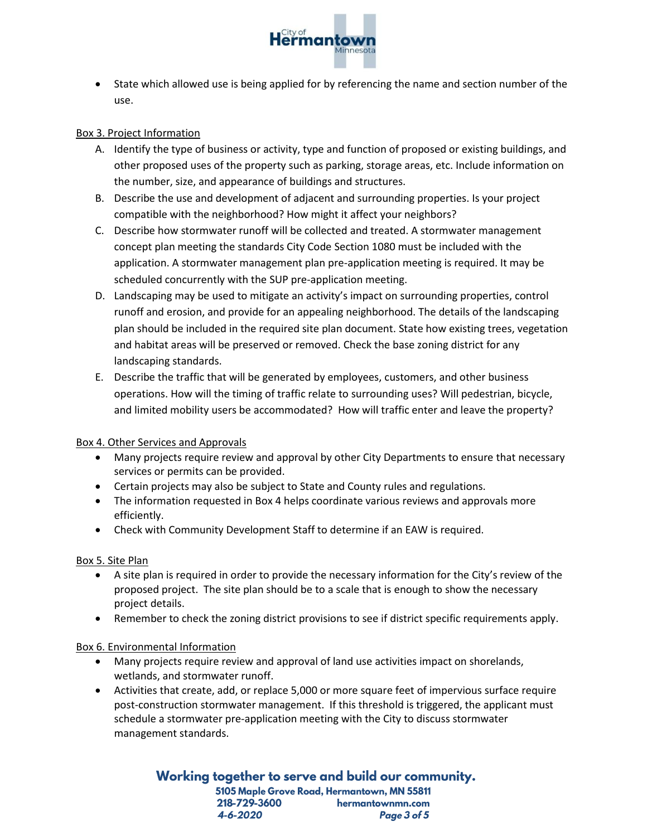

• State which allowed use is being applied for by referencing the name and section number of the use.

## Box 3. Project Information

- A. Identify the type of business or activity, type and function of proposed or existing buildings, and other proposed uses of the property such as parking, storage areas, etc. Include information on the number, size, and appearance of buildings and structures.
- B. Describe the use and development of adjacent and surrounding properties. Is your project compatible with the neighborhood? How might it affect your neighbors?
- C. Describe how stormwater runoff will be collected and treated. A stormwater management concept plan meeting the standards City Code Section 1080 must be included with the application. A stormwater management plan pre-application meeting is required. It may be scheduled concurrently with the SUP pre-application meeting.
- D. Landscaping may be used to mitigate an activity's impact on surrounding properties, control runoff and erosion, and provide for an appealing neighborhood. The details of the landscaping plan should be included in the required site plan document. State how existing trees, vegetation and habitat areas will be preserved or removed. Check the base zoning district for any landscaping standards.
- E. Describe the traffic that will be generated by employees, customers, and other business operations. How will the timing of traffic relate to surrounding uses? Will pedestrian, bicycle, and limited mobility users be accommodated? How will traffic enter and leave the property?

### Box 4. Other Services and Approvals

- Many projects require review and approval by other City Departments to ensure that necessary services or permits can be provided.
- Certain projects may also be subject to State and County rules and regulations.
- The information requested in Box 4 helps coordinate various reviews and approvals more efficiently.
- Check with Community Development Staff to determine if an EAW is required.

### Box 5. Site Plan

- A site plan is required in order to provide the necessary information for the City's review of the proposed project. The site plan should be to a scale that is enough to show the necessary project details.
- Remember to check the zoning district provisions to see if district specific requirements apply.

### Box 6. Environmental Information

- Many projects require review and approval of land use activities impact on shorelands, wetlands, and stormwater runoff.
- Activities that create, add, or replace 5,000 or more square feet of impervious surface require post-construction stormwater management. If this threshold is triggered, the applicant must schedule a stormwater pre-application meeting with the City to discuss stormwater management standards.

Working together to serve and build our community. 5105 Maple Grove Road, Hermantown, MN 55811 218-729-3600 hermantownmn.com 4-6-2020 Page 3 of 5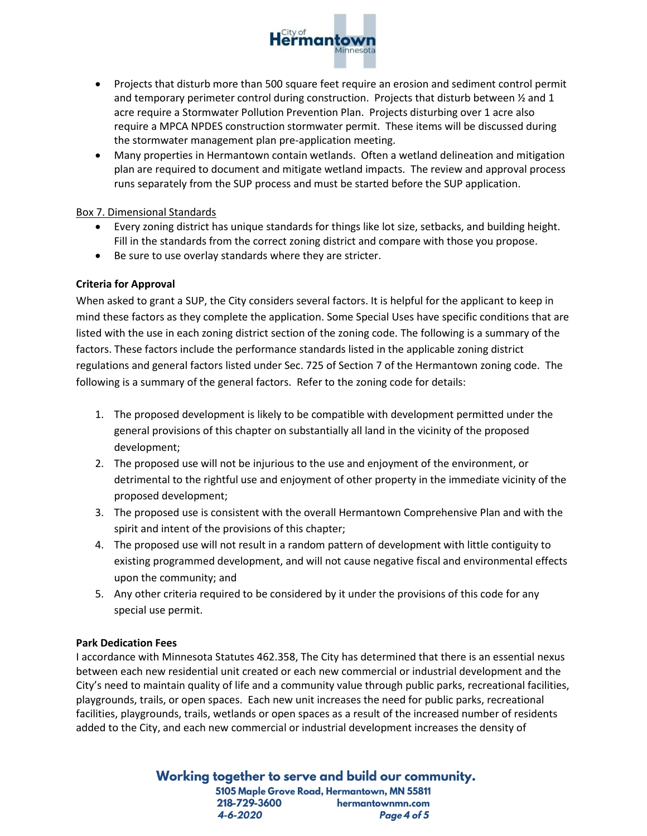

- Projects that disturb more than 500 square feet require an erosion and sediment control permit and temporary perimeter control during construction. Projects that disturb between  $\frac{1}{2}$  and 1 acre require a Stormwater Pollution Prevention Plan. Projects disturbing over 1 acre also require a MPCA NPDES construction stormwater permit. These items will be discussed during the stormwater management plan pre-application meeting.
- Many properties in Hermantown contain wetlands. Often a wetland delineation and mitigation plan are required to document and mitigate wetland impacts. The review and approval process runs separately from the SUP process and must be started before the SUP application.

### Box 7. Dimensional Standards

- Every zoning district has unique standards for things like lot size, setbacks, and building height. Fill in the standards from the correct zoning district and compare with those you propose.
- Be sure to use overlay standards where they are stricter.

## **Criteria for Approval**

When asked to grant a SUP, the City considers several factors. It is helpful for the applicant to keep in mind these factors as they complete the application. Some Special Uses have specific conditions that are listed with the use in each zoning district section of the zoning code. The following is a summary of the factors. These factors include the performance standards listed in the applicable zoning district regulations and general factors listed under Sec. 725 of Section 7 of the Hermantown zoning code. The following is a summary of the general factors. Refer to the zoning code for details:

- 1. The proposed development is likely to be compatible with development permitted under the general provisions of this chapter on substantially all land in the vicinity of the proposed development;
- 2. The proposed use will not be injurious to the use and enjoyment of the environment, or detrimental to the rightful use and enjoyment of other property in the immediate vicinity of the proposed development;
- 3. The proposed use is consistent with the overall Hermantown Comprehensive Plan and with the spirit and intent of the provisions of this chapter;
- 4. The proposed use will not result in a random pattern of development with little contiguity to existing programmed development, and will not cause negative fiscal and environmental effects upon the community; and
- 5. Any other criteria required to be considered by it under the provisions of this code for any special use permit.

### **Park Dedication Fees**

I accordance with Minnesota Statutes 462.358, The City has determined that there is an essential nexus between each new residential unit created or each new commercial or industrial development and the City's need to maintain quality of life and a community value through public parks, recreational facilities, playgrounds, trails, or open spaces. Each new unit increases the need for public parks, recreational facilities, playgrounds, trails, wetlands or open spaces as a result of the increased number of residents added to the City, and each new commercial or industrial development increases the density of

> Working together to serve and build our community. 5105 Maple Grove Road, Hermantown, MN 55811 218-729-3600 hermantownmn.com 4-6-2020 Page 4 of 5